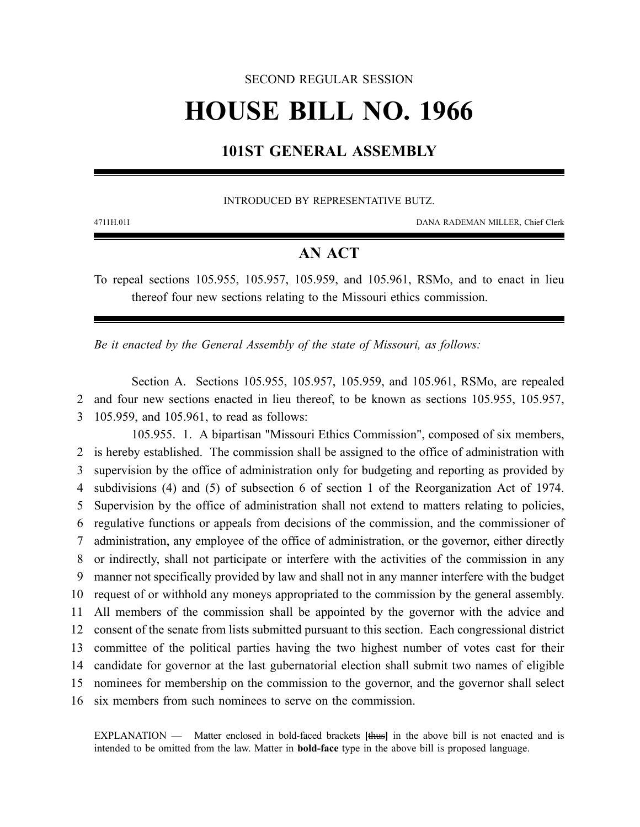## SECOND REGULAR SESSION

# **HOUSE BILL NO. 1966**

# **101ST GENERAL ASSEMBLY**

#### INTRODUCED BY REPRESENTATIVE BUTZ.

4711H.01I DANA RADEMAN MILLER, Chief Clerk

# **AN ACT**

To repeal sections 105.955, 105.957, 105.959, and 105.961, RSMo, and to enact in lieu thereof four new sections relating to the Missouri ethics commission.

*Be it enacted by the General Assembly of the state of Missouri, as follows:*

Section A. Sections 105.955, 105.957, 105.959, and 105.961, RSMo, are repealed 2 and four new sections enacted in lieu thereof, to be known as sections 105.955, 105.957, 3 105.959, and 105.961, to read as follows:

105.955. 1. A bipartisan "Missouri Ethics Commission", composed of six members, is hereby established. The commission shall be assigned to the office of administration with supervision by the office of administration only for budgeting and reporting as provided by subdivisions (4) and (5) of subsection 6 of section 1 of the Reorganization Act of 1974. Supervision by the office of administration shall not extend to matters relating to policies, regulative functions or appeals from decisions of the commission, and the commissioner of administration, any employee of the office of administration, or the governor, either directly or indirectly, shall not participate or interfere with the activities of the commission in any manner not specifically provided by law and shall not in any manner interfere with the budget request of or withhold any moneys appropriated to the commission by the general assembly. All members of the commission shall be appointed by the governor with the advice and consent of the senate from lists submitted pursuant to this section. Each congressional district committee of the political parties having the two highest number of votes cast for their candidate for governor at the last gubernatorial election shall submit two names of eligible nominees for membership on the commission to the governor, and the governor shall select six members from such nominees to serve on the commission.

EXPLANATION — Matter enclosed in bold-faced brackets **[**thus**]** in the above bill is not enacted and is intended to be omitted from the law. Matter in **bold-face** type in the above bill is proposed language.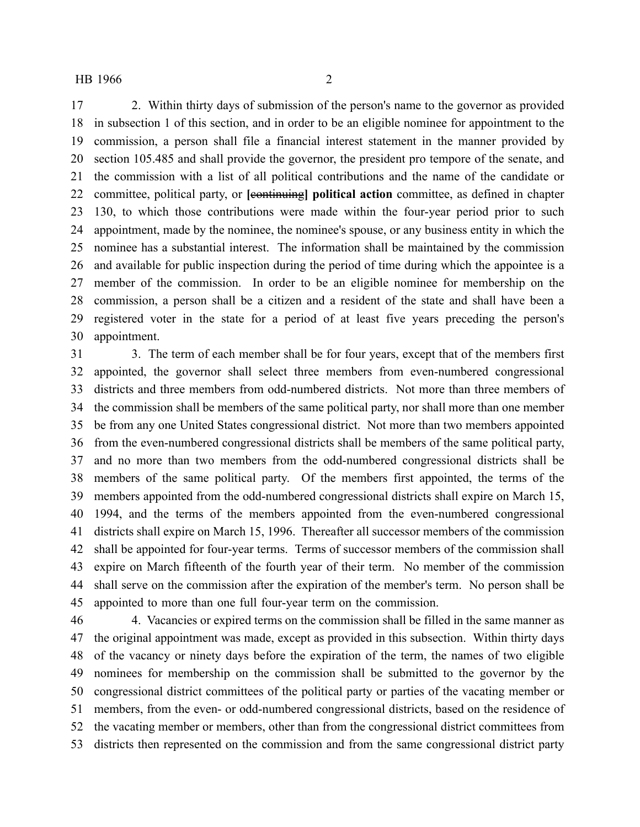2. Within thirty days of submission of the person's name to the governor as provided in subsection 1 of this section, and in order to be an eligible nominee for appointment to the commission, a person shall file a financial interest statement in the manner provided by section 105.485 and shall provide the governor, the president pro tempore of the senate, and the commission with a list of all political contributions and the name of the candidate or committee, political party, or **[**continuing**] political action** committee, as defined in chapter 130, to which those contributions were made within the four-year period prior to such appointment, made by the nominee, the nominee's spouse, or any business entity in which the nominee has a substantial interest. The information shall be maintained by the commission and available for public inspection during the period of time during which the appointee is a member of the commission. In order to be an eligible nominee for membership on the commission, a person shall be a citizen and a resident of the state and shall have been a registered voter in the state for a period of at least five years preceding the person's appointment.

 3. The term of each member shall be for four years, except that of the members first appointed, the governor shall select three members from even-numbered congressional districts and three members from odd-numbered districts. Not more than three members of the commission shall be members of the same political party, nor shall more than one member be from any one United States congressional district. Not more than two members appointed from the even-numbered congressional districts shall be members of the same political party, and no more than two members from the odd-numbered congressional districts shall be members of the same political party. Of the members first appointed, the terms of the members appointed from the odd-numbered congressional districts shall expire on March 15, 1994, and the terms of the members appointed from the even-numbered congressional districts shall expire on March 15, 1996. Thereafter all successor members of the commission shall be appointed for four-year terms. Terms of successor members of the commission shall expire on March fifteenth of the fourth year of their term. No member of the commission shall serve on the commission after the expiration of the member's term. No person shall be appointed to more than one full four-year term on the commission.

 4. Vacancies or expired terms on the commission shall be filled in the same manner as the original appointment was made, except as provided in this subsection. Within thirty days of the vacancy or ninety days before the expiration of the term, the names of two eligible nominees for membership on the commission shall be submitted to the governor by the congressional district committees of the political party or parties of the vacating member or members, from the even- or odd-numbered congressional districts, based on the residence of the vacating member or members, other than from the congressional district committees from districts then represented on the commission and from the same congressional district party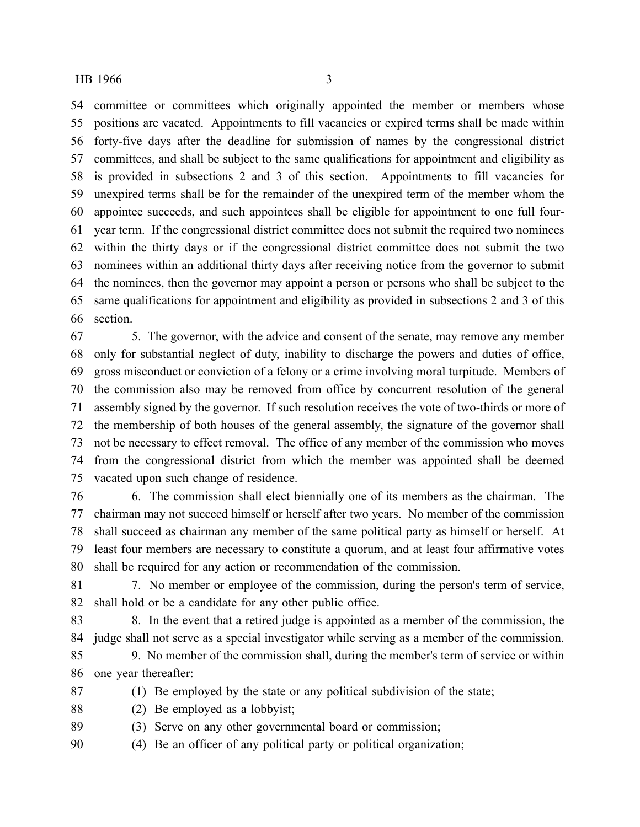committee or committees which originally appointed the member or members whose positions are vacated. Appointments to fill vacancies or expired terms shall be made within forty-five days after the deadline for submission of names by the congressional district committees, and shall be subject to the same qualifications for appointment and eligibility as is provided in subsections 2 and 3 of this section. Appointments to fill vacancies for unexpired terms shall be for the remainder of the unexpired term of the member whom the appointee succeeds, and such appointees shall be eligible for appointment to one full four- year term. If the congressional district committee does not submit the required two nominees within the thirty days or if the congressional district committee does not submit the two nominees within an additional thirty days after receiving notice from the governor to submit the nominees, then the governor may appoint a person or persons who shall be subject to the same qualifications for appointment and eligibility as provided in subsections 2 and 3 of this section.

 5. The governor, with the advice and consent of the senate, may remove any member only for substantial neglect of duty, inability to discharge the powers and duties of office, gross misconduct or conviction of a felony or a crime involving moral turpitude. Members of the commission also may be removed from office by concurrent resolution of the general assembly signed by the governor. If such resolution receives the vote of two-thirds or more of the membership of both houses of the general assembly, the signature of the governor shall not be necessary to effect removal. The office of any member of the commission who moves from the congressional district from which the member was appointed shall be deemed vacated upon such change of residence.

 6. The commission shall elect biennially one of its members as the chairman. The chairman may not succeed himself or herself after two years. No member of the commission shall succeed as chairman any member of the same political party as himself or herself. At least four members are necessary to constitute a quorum, and at least four affirmative votes shall be required for any action or recommendation of the commission.

 7. No member or employee of the commission, during the person's term of service, shall hold or be a candidate for any other public office.

 8. In the event that a retired judge is appointed as a member of the commission, the judge shall not serve as a special investigator while serving as a member of the commission.

 9. No member of the commission shall, during the member's term of service or within one year thereafter:

(1) Be employed by the state or any political subdivision of the state;

- (2) Be employed as a lobbyist;
- (3) Serve on any other governmental board or commission;

(4) Be an officer of any political party or political organization;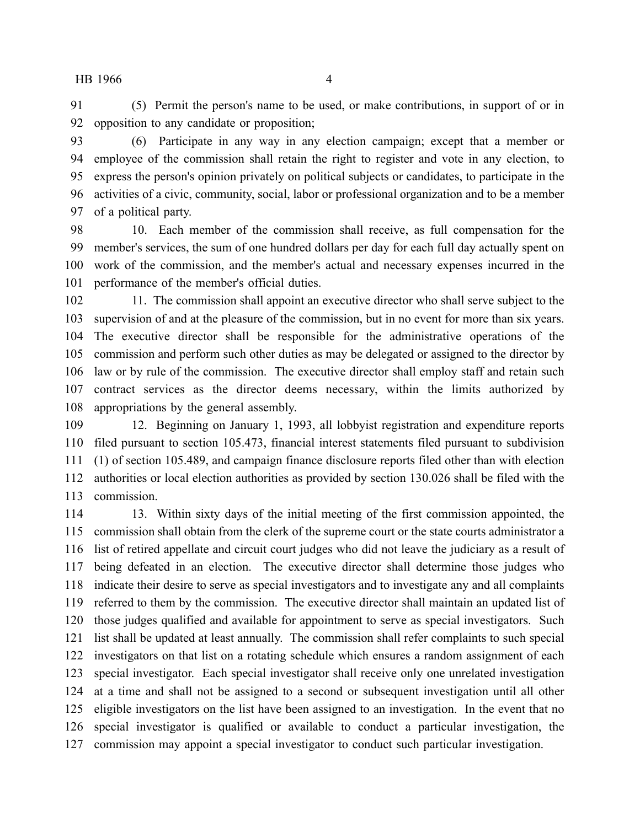(5) Permit the person's name to be used, or make contributions, in support of or in opposition to any candidate or proposition;

 (6) Participate in any way in any election campaign; except that a member or employee of the commission shall retain the right to register and vote in any election, to express the person's opinion privately on political subjects or candidates, to participate in the activities of a civic, community, social, labor or professional organization and to be a member of a political party.

 10. Each member of the commission shall receive, as full compensation for the member's services, the sum of one hundred dollars per day for each full day actually spent on work of the commission, and the member's actual and necessary expenses incurred in the performance of the member's official duties.

102 11. The commission shall appoint an executive director who shall serve subject to the supervision of and at the pleasure of the commission, but in no event for more than six years. The executive director shall be responsible for the administrative operations of the commission and perform such other duties as may be delegated or assigned to the director by law or by rule of the commission. The executive director shall employ staff and retain such contract services as the director deems necessary, within the limits authorized by appropriations by the general assembly.

 12. Beginning on January 1, 1993, all lobbyist registration and expenditure reports filed pursuant to section 105.473, financial interest statements filed pursuant to subdivision (1) of section 105.489, and campaign finance disclosure reports filed other than with election authorities or local election authorities as provided by section 130.026 shall be filed with the commission.

 13. Within sixty days of the initial meeting of the first commission appointed, the commission shall obtain from the clerk of the supreme court or the state courts administrator a list of retired appellate and circuit court judges who did not leave the judiciary as a result of being defeated in an election. The executive director shall determine those judges who indicate their desire to serve as special investigators and to investigate any and all complaints referred to them by the commission. The executive director shall maintain an updated list of those judges qualified and available for appointment to serve as special investigators. Such list shall be updated at least annually. The commission shall refer complaints to such special investigators on that list on a rotating schedule which ensures a random assignment of each special investigator. Each special investigator shall receive only one unrelated investigation at a time and shall not be assigned to a second or subsequent investigation until all other eligible investigators on the list have been assigned to an investigation. In the event that no special investigator is qualified or available to conduct a particular investigation, the commission may appoint a special investigator to conduct such particular investigation.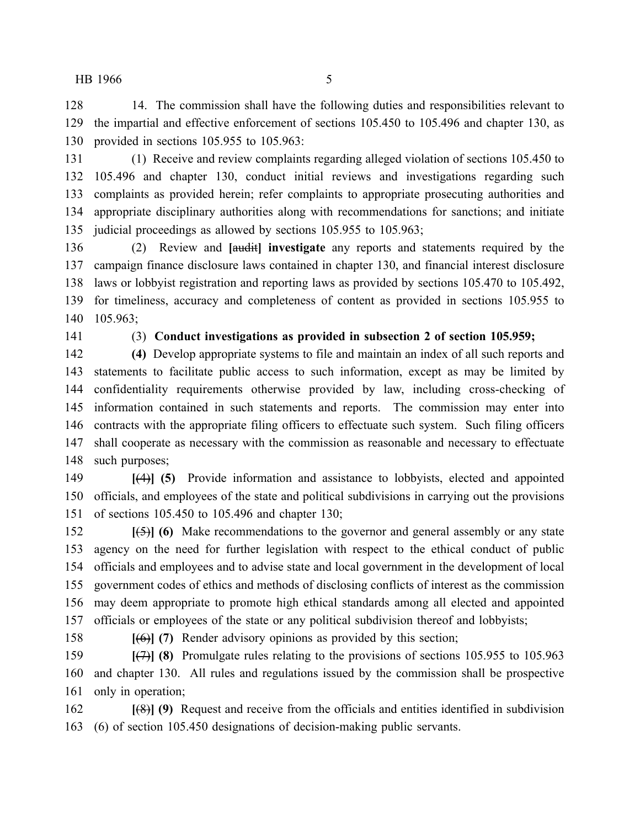14. The commission shall have the following duties and responsibilities relevant to the impartial and effective enforcement of sections 105.450 to 105.496 and chapter 130, as provided in sections 105.955 to 105.963:

 (1) Receive and review complaints regarding alleged violation of sections 105.450 to 105.496 and chapter 130, conduct initial reviews and investigations regarding such complaints as provided herein; refer complaints to appropriate prosecuting authorities and appropriate disciplinary authorities along with recommendations for sanctions; and initiate judicial proceedings as allowed by sections 105.955 to 105.963;

 (2) Review and **[**audit**] investigate** any reports and statements required by the campaign finance disclosure laws contained in chapter 130, and financial interest disclosure laws or lobbyist registration and reporting laws as provided by sections 105.470 to 105.492, for timeliness, accuracy and completeness of content as provided in sections 105.955 to 105.963;

# (3) **Conduct investigations as provided in subsection 2 of section 105.959;**

 **(4)** Develop appropriate systems to file and maintain an index of all such reports and statements to facilitate public access to such information, except as may be limited by confidentiality requirements otherwise provided by law, including cross-checking of information contained in such statements and reports. The commission may enter into contracts with the appropriate filing officers to effectuate such system. Such filing officers shall cooperate as necessary with the commission as reasonable and necessary to effectuate such purposes;

 **[**(4)**] (5)** Provide information and assistance to lobbyists, elected and appointed officials, and employees of the state and political subdivisions in carrying out the provisions of sections 105.450 to 105.496 and chapter 130;

 **[**(5)**] (6)** Make recommendations to the governor and general assembly or any state agency on the need for further legislation with respect to the ethical conduct of public officials and employees and to advise state and local government in the development of local government codes of ethics and methods of disclosing conflicts of interest as the commission may deem appropriate to promote high ethical standards among all elected and appointed officials or employees of the state or any political subdivision thereof and lobbyists;

**[**(6)**] (7)** Render advisory opinions as provided by this section;

 **[**(7)**] (8)** Promulgate rules relating to the provisions of sections 105.955 to 105.963 and chapter 130. All rules and regulations issued by the commission shall be prospective only in operation;

 **[**(8)**] (9)** Request and receive from the officials and entities identified in subdivision (6) of section 105.450 designations of decision-making public servants.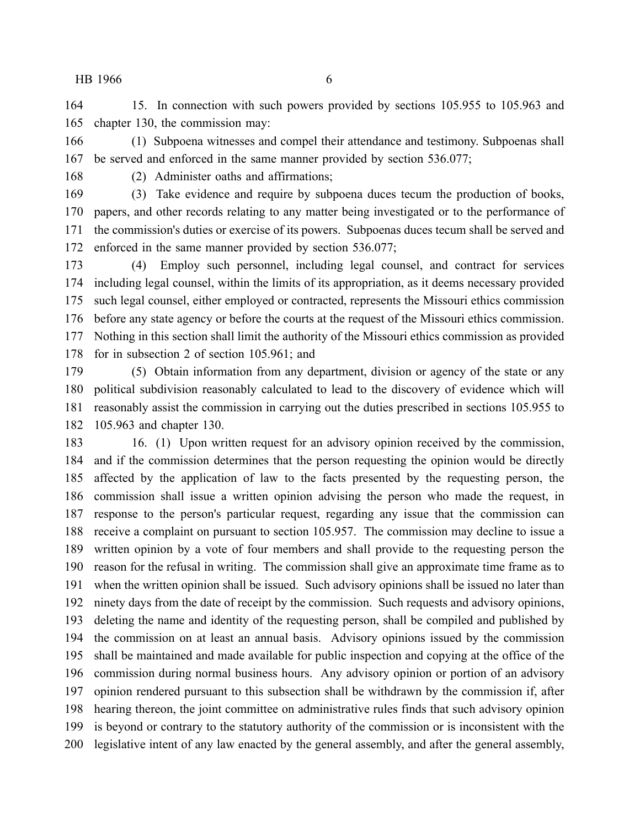15. In connection with such powers provided by sections 105.955 to 105.963 and chapter 130, the commission may:

 (1) Subpoena witnesses and compel their attendance and testimony. Subpoenas shall be served and enforced in the same manner provided by section 536.077;

(2) Administer oaths and affirmations;

 (3) Take evidence and require by subpoena duces tecum the production of books, papers, and other records relating to any matter being investigated or to the performance of the commission's duties or exercise of its powers. Subpoenas duces tecum shall be served and enforced in the same manner provided by section 536.077;

 (4) Employ such personnel, including legal counsel, and contract for services including legal counsel, within the limits of its appropriation, as it deems necessary provided such legal counsel, either employed or contracted, represents the Missouri ethics commission before any state agency or before the courts at the request of the Missouri ethics commission. Nothing in this section shall limit the authority of the Missouri ethics commission as provided for in subsection 2 of section 105.961; and

 (5) Obtain information from any department, division or agency of the state or any political subdivision reasonably calculated to lead to the discovery of evidence which will reasonably assist the commission in carrying out the duties prescribed in sections 105.955 to 105.963 and chapter 130.

 16. (1) Upon written request for an advisory opinion received by the commission, and if the commission determines that the person requesting the opinion would be directly affected by the application of law to the facts presented by the requesting person, the commission shall issue a written opinion advising the person who made the request, in response to the person's particular request, regarding any issue that the commission can receive a complaint on pursuant to section 105.957. The commission may decline to issue a written opinion by a vote of four members and shall provide to the requesting person the reason for the refusal in writing. The commission shall give an approximate time frame as to when the written opinion shall be issued. Such advisory opinions shall be issued no later than ninety days from the date of receipt by the commission. Such requests and advisory opinions, deleting the name and identity of the requesting person, shall be compiled and published by the commission on at least an annual basis. Advisory opinions issued by the commission shall be maintained and made available for public inspection and copying at the office of the commission during normal business hours. Any advisory opinion or portion of an advisory opinion rendered pursuant to this subsection shall be withdrawn by the commission if, after hearing thereon, the joint committee on administrative rules finds that such advisory opinion is beyond or contrary to the statutory authority of the commission or is inconsistent with the legislative intent of any law enacted by the general assembly, and after the general assembly,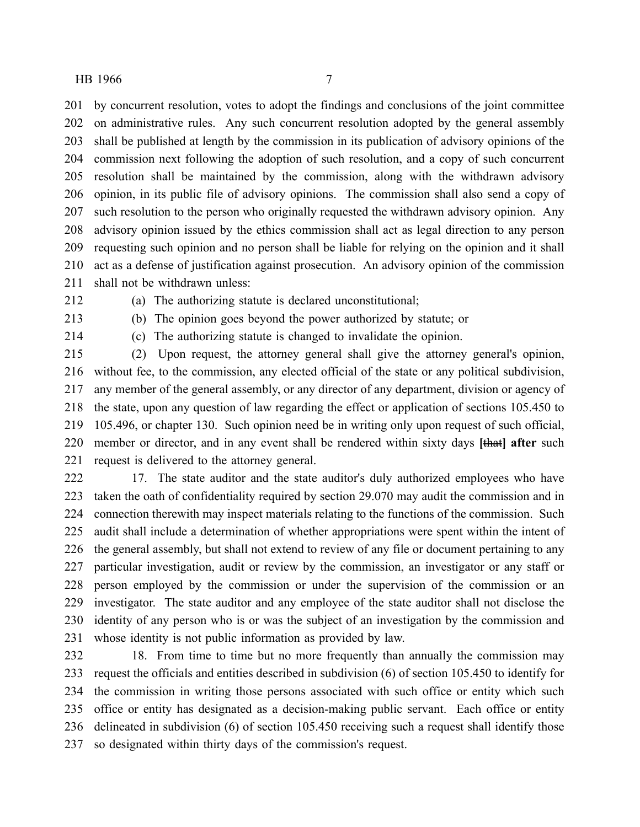by concurrent resolution, votes to adopt the findings and conclusions of the joint committee on administrative rules. Any such concurrent resolution adopted by the general assembly shall be published at length by the commission in its publication of advisory opinions of the commission next following the adoption of such resolution, and a copy of such concurrent resolution shall be maintained by the commission, along with the withdrawn advisory opinion, in its public file of advisory opinions. The commission shall also send a copy of such resolution to the person who originally requested the withdrawn advisory opinion. Any advisory opinion issued by the ethics commission shall act as legal direction to any person requesting such opinion and no person shall be liable for relying on the opinion and it shall act as a defense of justification against prosecution. An advisory opinion of the commission shall not be withdrawn unless:

(a) The authorizing statute is declared unconstitutional;

(b) The opinion goes beyond the power authorized by statute; or

(c) The authorizing statute is changed to invalidate the opinion.

 (2) Upon request, the attorney general shall give the attorney general's opinion, without fee, to the commission, any elected official of the state or any political subdivision, any member of the general assembly, or any director of any department, division or agency of the state, upon any question of law regarding the effect or application of sections 105.450 to 105.496, or chapter 130. Such opinion need be in writing only upon request of such official, member or director, and in any event shall be rendered within sixty days **[**that**] after** such request is delivered to the attorney general.

 17. The state auditor and the state auditor's duly authorized employees who have taken the oath of confidentiality required by section 29.070 may audit the commission and in connection therewith may inspect materials relating to the functions of the commission. Such audit shall include a determination of whether appropriations were spent within the intent of the general assembly, but shall not extend to review of any file or document pertaining to any particular investigation, audit or review by the commission, an investigator or any staff or person employed by the commission or under the supervision of the commission or an investigator. The state auditor and any employee of the state auditor shall not disclose the identity of any person who is or was the subject of an investigation by the commission and whose identity is not public information as provided by law.

 18. From time to time but no more frequently than annually the commission may request the officials and entities described in subdivision (6) of section 105.450 to identify for the commission in writing those persons associated with such office or entity which such office or entity has designated as a decision-making public servant. Each office or entity delineated in subdivision (6) of section 105.450 receiving such a request shall identify those so designated within thirty days of the commission's request.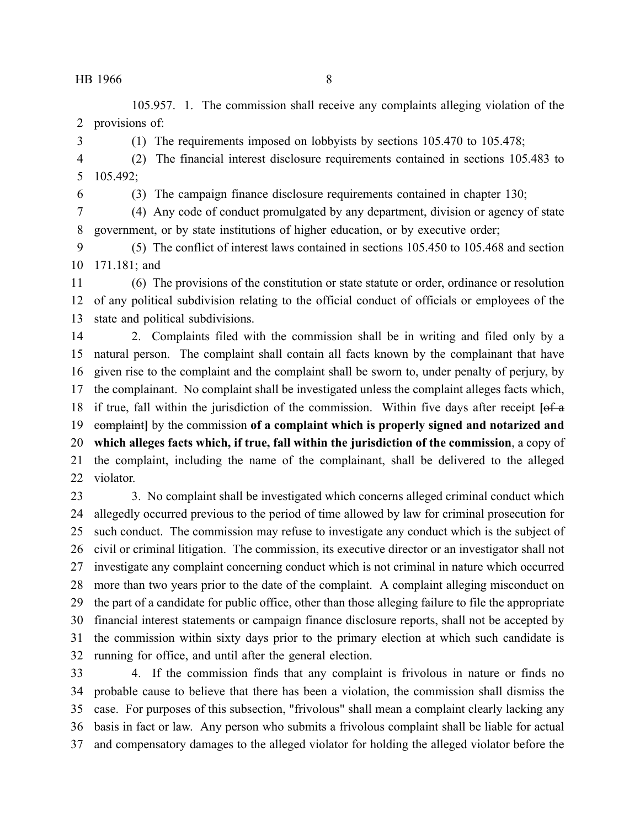105.957. 1. The commission shall receive any complaints alleging violation of the provisions of:

(1) The requirements imposed on lobbyists by sections 105.470 to 105.478;

 (2) The financial interest disclosure requirements contained in sections 105.483 to 105.492;

(3) The campaign finance disclosure requirements contained in chapter 130;

 (4) Any code of conduct promulgated by any department, division or agency of state government, or by state institutions of higher education, or by executive order;

 (5) The conflict of interest laws contained in sections 105.450 to 105.468 and section 171.181; and

 (6) The provisions of the constitution or state statute or order, ordinance or resolution of any political subdivision relating to the official conduct of officials or employees of the state and political subdivisions.

 2. Complaints filed with the commission shall be in writing and filed only by a natural person. The complaint shall contain all facts known by the complainant that have given rise to the complaint and the complaint shall be sworn to, under penalty of perjury, by the complainant. No complaint shall be investigated unless the complaint alleges facts which, if true, fall within the jurisdiction of the commission. Within five days after receipt **[**of a complaint**]** by the commission **of a complaint which is properly signed and notarized and which alleges facts which, if true, fall within the jurisdiction of the commission**, a copy of the complaint, including the name of the complainant, shall be delivered to the alleged violator.

 3. No complaint shall be investigated which concerns alleged criminal conduct which allegedly occurred previous to the period of time allowed by law for criminal prosecution for such conduct. The commission may refuse to investigate any conduct which is the subject of civil or criminal litigation. The commission, its executive director or an investigator shall not investigate any complaint concerning conduct which is not criminal in nature which occurred more than two years prior to the date of the complaint. A complaint alleging misconduct on the part of a candidate for public office, other than those alleging failure to file the appropriate financial interest statements or campaign finance disclosure reports, shall not be accepted by the commission within sixty days prior to the primary election at which such candidate is running for office, and until after the general election.

 4. If the commission finds that any complaint is frivolous in nature or finds no probable cause to believe that there has been a violation, the commission shall dismiss the case. For purposes of this subsection, "frivolous" shall mean a complaint clearly lacking any basis in fact or law. Any person who submits a frivolous complaint shall be liable for actual and compensatory damages to the alleged violator for holding the alleged violator before the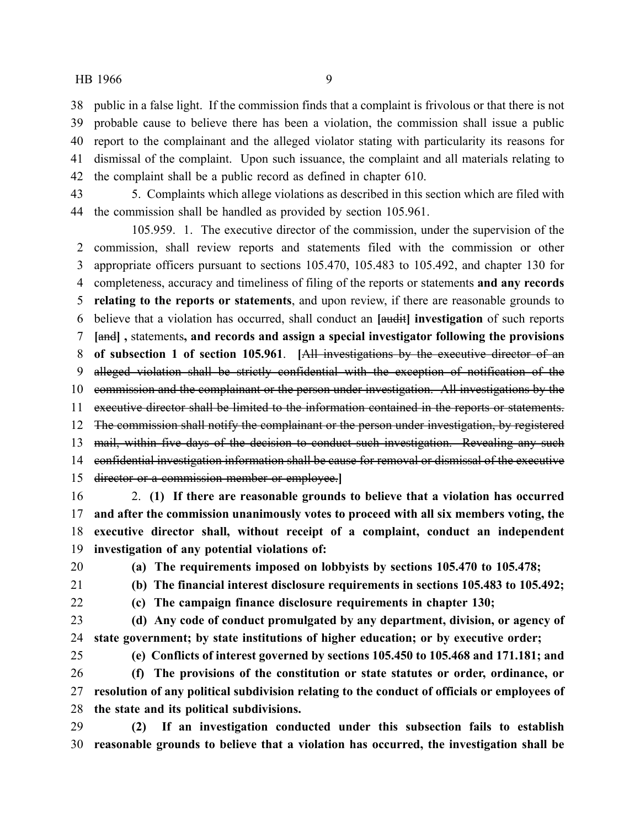public in a false light. If the commission finds that a complaint is frivolous or that there is not probable cause to believe there has been a violation, the commission shall issue a public report to the complainant and the alleged violator stating with particularity its reasons for dismissal of the complaint. Upon such issuance, the complaint and all materials relating to the complaint shall be a public record as defined in chapter 610.

 5. Complaints which allege violations as described in this section which are filed with the commission shall be handled as provided by section 105.961.

105.959. 1. The executive director of the commission, under the supervision of the commission, shall review reports and statements filed with the commission or other appropriate officers pursuant to sections 105.470, 105.483 to 105.492, and chapter 130 for completeness, accuracy and timeliness of filing of the reports or statements **and any records relating to the reports or statements**, and upon review, if there are reasonable grounds to believe that a violation has occurred, shall conduct an **[**audit**] investigation** of such reports **[**and**] ,** statements**, and records and assign a special investigator following the provisions of subsection 1 of section 105.961**. **[**All investigations by the executive director of an alleged violation shall be strictly confidential with the exception of notification of the 10 commission and the complainant or the person under investigation. All investigations by the executive director shall be limited to the information contained in the reports or statements. The commission shall notify the complainant or the person under investigation, by registered mail, within five days of the decision to conduct such investigation. Revealing any such confidential investigation information shall be cause for removal or dismissal of the executive director or a commission member or employee.**]** 2. **(1) If there are reasonable grounds to believe that a violation has occurred**

 **and after the commission unanimously votes to proceed with all six members voting, the executive director shall, without receipt of a complaint, conduct an independent investigation of any potential violations of:**

**(a) The requirements imposed on lobbyists by sections 105.470 to 105.478;**

**(b) The financial interest disclosure requirements in sections 105.483 to 105.492;**

**(c) The campaign finance disclosure requirements in chapter 130;**

 **(d) Any code of conduct promulgated by any department, division, or agency of state government; by state institutions of higher education; or by executive order;**

**(e) Conflicts of interest governed by sections 105.450 to 105.468 and 171.181; and**

 **(f) The provisions of the constitution or state statutes or order, ordinance, or resolution of any political subdivision relating to the conduct of officials or employees of the state and its political subdivisions.**

 **(2) If an investigation conducted under this subsection fails to establish reasonable grounds to believe that a violation has occurred, the investigation shall be**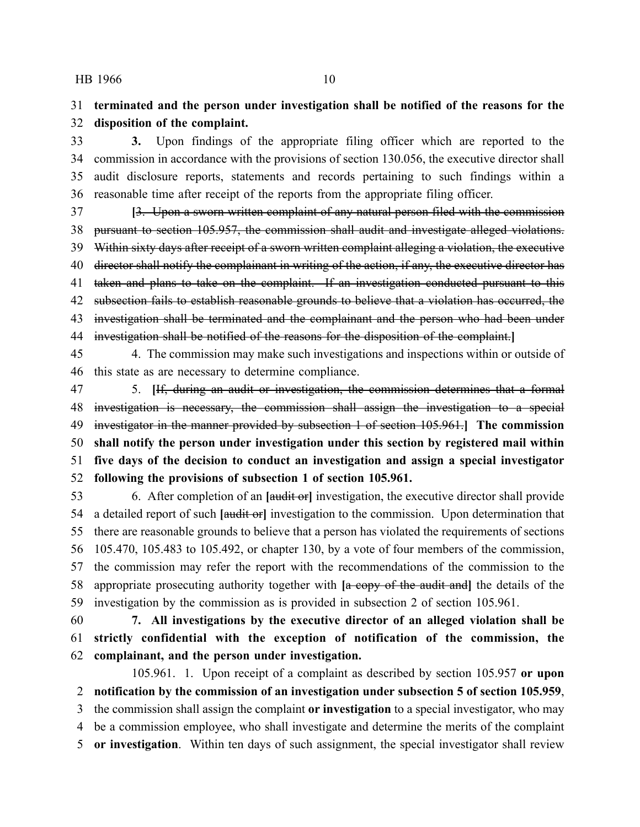# **terminated and the person under investigation shall be notified of the reasons for the disposition of the complaint.**

 **3.** Upon findings of the appropriate filing officer which are reported to the commission in accordance with the provisions of section 130.056, the executive director shall audit disclosure reports, statements and records pertaining to such findings within a reasonable time after receipt of the reports from the appropriate filing officer.

 **[**3. Upon a sworn written complaint of any natural person filed with the commission pursuant to section 105.957, the commission shall audit and investigate alleged violations. 39 Within sixty days after receipt of a sworn written complaint alleging a violation, the executive 40 director shall notify the complainant in writing of the action, if any, the executive director has 41 taken and plans to take on the complaint. If an investigation conducted pursuant to this 42 subsection fails to establish reasonable grounds to believe that a violation has occurred, the 43 investigation shall be terminated and the complainant and the person who had been under investigation shall be notified of the reasons for the disposition of the complaint.**]**

 4. The commission may make such investigations and inspections within or outside of this state as are necessary to determine compliance.

 5. **[**If, during an audit or investigation, the commission determines that a formal investigation is necessary, the commission shall assign the investigation to a special investigator in the manner provided by subsection 1 of section 105.961.**] The commission shall notify the person under investigation under this section by registered mail within five days of the decision to conduct an investigation and assign a special investigator following the provisions of subsection 1 of section 105.961.**

 6. After completion of an **[**audit or**]** investigation, the executive director shall provide a detailed report of such **[**audit or**]** investigation to the commission. Upon determination that there are reasonable grounds to believe that a person has violated the requirements of sections 105.470, 105.483 to 105.492, or chapter 130, by a vote of four members of the commission, the commission may refer the report with the recommendations of the commission to the appropriate prosecuting authority together with **[**a copy of the audit and**]** the details of the investigation by the commission as is provided in subsection 2 of section 105.961.

 **7. All investigations by the executive director of an alleged violation shall be strictly confidential with the exception of notification of the commission, the complainant, and the person under investigation.**

105.961. 1. Upon receipt of a complaint as described by section 105.957 **or upon notification by the commission of an investigation under subsection 5 of section 105.959**, the commission shall assign the complaint **or investigation** to a special investigator, who may be a commission employee, who shall investigate and determine the merits of the complaint **or investigation**. Within ten days of such assignment, the special investigator shall review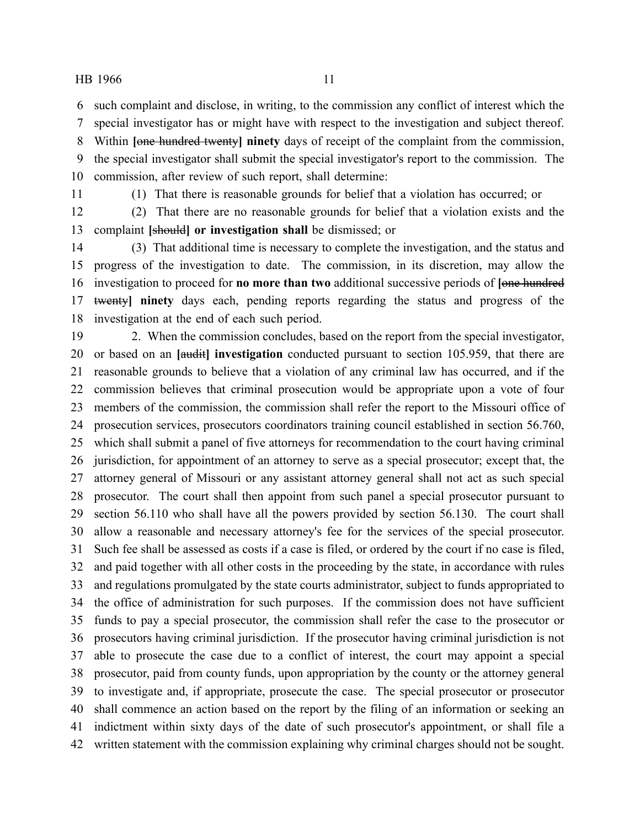such complaint and disclose, in writing, to the commission any conflict of interest which the

 special investigator has or might have with respect to the investigation and subject thereof. Within **[**one hundred twenty**] ninety** days of receipt of the complaint from the commission, the special investigator shall submit the special investigator's report to the commission. The commission, after review of such report, shall determine:

(1) That there is reasonable grounds for belief that a violation has occurred; or

 (2) That there are no reasonable grounds for belief that a violation exists and the complaint **[**should**] or investigation shall** be dismissed; or

 (3) That additional time is necessary to complete the investigation, and the status and progress of the investigation to date. The commission, in its discretion, may allow the investigation to proceed for **no more than two** additional successive periods of **[**one hundred twenty**] ninety** days each, pending reports regarding the status and progress of the investigation at the end of each such period.

 2. When the commission concludes, based on the report from the special investigator, or based on an **[**audit**] investigation** conducted pursuant to section 105.959, that there are reasonable grounds to believe that a violation of any criminal law has occurred, and if the commission believes that criminal prosecution would be appropriate upon a vote of four members of the commission, the commission shall refer the report to the Missouri office of prosecution services, prosecutors coordinators training council established in section 56.760, which shall submit a panel of five attorneys for recommendation to the court having criminal jurisdiction, for appointment of an attorney to serve as a special prosecutor; except that, the attorney general of Missouri or any assistant attorney general shall not act as such special prosecutor. The court shall then appoint from such panel a special prosecutor pursuant to section 56.110 who shall have all the powers provided by section 56.130. The court shall allow a reasonable and necessary attorney's fee for the services of the special prosecutor. Such fee shall be assessed as costs if a case is filed, or ordered by the court if no case is filed, and paid together with all other costs in the proceeding by the state, in accordance with rules and regulations promulgated by the state courts administrator, subject to funds appropriated to the office of administration for such purposes. If the commission does not have sufficient funds to pay a special prosecutor, the commission shall refer the case to the prosecutor or prosecutors having criminal jurisdiction. If the prosecutor having criminal jurisdiction is not able to prosecute the case due to a conflict of interest, the court may appoint a special prosecutor, paid from county funds, upon appropriation by the county or the attorney general to investigate and, if appropriate, prosecute the case. The special prosecutor or prosecutor shall commence an action based on the report by the filing of an information or seeking an indictment within sixty days of the date of such prosecutor's appointment, or shall file a written statement with the commission explaining why criminal charges should not be sought.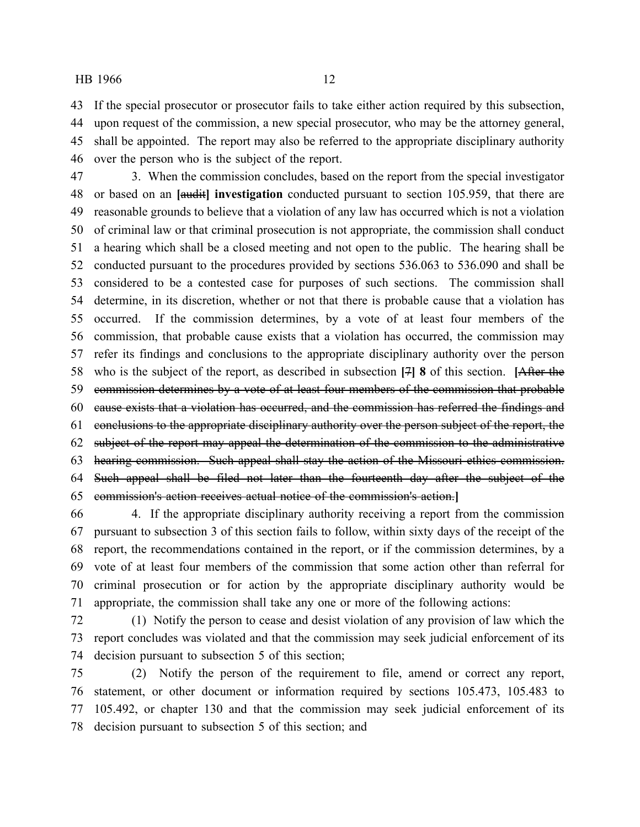If the special prosecutor or prosecutor fails to take either action required by this subsection, upon request of the commission, a new special prosecutor, who may be the attorney general, shall be appointed. The report may also be referred to the appropriate disciplinary authority over the person who is the subject of the report.

 3. When the commission concludes, based on the report from the special investigator or based on an **[**audit**] investigation** conducted pursuant to section 105.959, that there are reasonable grounds to believe that a violation of any law has occurred which is not a violation of criminal law or that criminal prosecution is not appropriate, the commission shall conduct a hearing which shall be a closed meeting and not open to the public. The hearing shall be conducted pursuant to the procedures provided by sections 536.063 to 536.090 and shall be considered to be a contested case for purposes of such sections. The commission shall determine, in its discretion, whether or not that there is probable cause that a violation has occurred. If the commission determines, by a vote of at least four members of the commission, that probable cause exists that a violation has occurred, the commission may refer its findings and conclusions to the appropriate disciplinary authority over the person who is the subject of the report, as described in subsection **[**7**] 8** of this section. **[**After the commission determines by a vote of at least four members of the commission that probable cause exists that a violation has occurred, and the commission has referred the findings and conclusions to the appropriate disciplinary authority over the person subject of the report, the subject of the report may appeal the determination of the commission to the administrative hearing commission. Such appeal shall stay the action of the Missouri ethics commission. Such appeal shall be filed not later than the fourteenth day after the subject of the commission's action receives actual notice of the commission's action.**]**

 4. If the appropriate disciplinary authority receiving a report from the commission pursuant to subsection 3 of this section fails to follow, within sixty days of the receipt of the report, the recommendations contained in the report, or if the commission determines, by a vote of at least four members of the commission that some action other than referral for criminal prosecution or for action by the appropriate disciplinary authority would be appropriate, the commission shall take any one or more of the following actions:

 (1) Notify the person to cease and desist violation of any provision of law which the report concludes was violated and that the commission may seek judicial enforcement of its decision pursuant to subsection 5 of this section;

 (2) Notify the person of the requirement to file, amend or correct any report, statement, or other document or information required by sections 105.473, 105.483 to 105.492, or chapter 130 and that the commission may seek judicial enforcement of its decision pursuant to subsection 5 of this section; and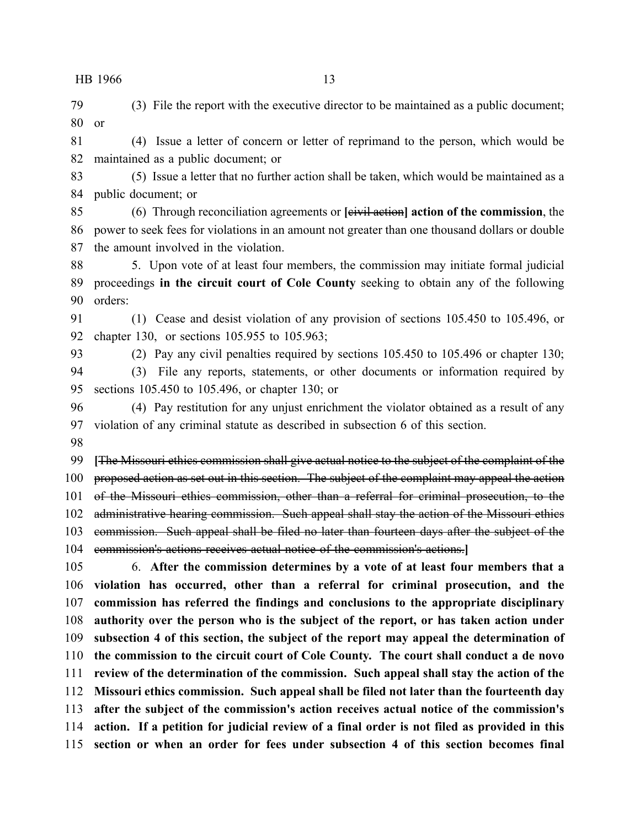(3) File the report with the executive director to be maintained as a public document; or

 (4) Issue a letter of concern or letter of reprimand to the person, which would be maintained as a public document; or

 (5) Issue a letter that no further action shall be taken, which would be maintained as a public document; or

 (6) Through reconciliation agreements or **[**civil action**] action of the commission**, the power to seek fees for violations in an amount not greater than one thousand dollars or double the amount involved in the violation.

 5. Upon vote of at least four members, the commission may initiate formal judicial proceedings **in the circuit court of Cole County** seeking to obtain any of the following orders:

 (1) Cease and desist violation of any provision of sections 105.450 to 105.496, or chapter 130, or sections 105.955 to 105.963;

(2) Pay any civil penalties required by sections 105.450 to 105.496 or chapter 130;

 (3) File any reports, statements, or other documents or information required by sections 105.450 to 105.496, or chapter 130; or

 (4) Pay restitution for any unjust enrichment the violator obtained as a result of any violation of any criminal statute as described in subsection 6 of this section.

 **[**The Missouri ethics commission shall give actual notice to the subject of the complaint of the 100 proposed action as set out in this section. The subject of the complaint may appeal the action 101 of the Missouri ethics commission, other than a referral for criminal prosecution, to the 102 administrative hearing commission. Such appeal shall stay the action of the Missouri ethics commission. Such appeal shall be filed no later than fourteen days after the subject of the

commission's actions receives actual notice of the commission's actions.**]**

 6. **After the commission determines by a vote of at least four members that a violation has occurred, other than a referral for criminal prosecution, and the commission has referred the findings and conclusions to the appropriate disciplinary authority over the person who is the subject of the report, or has taken action under subsection 4 of this section, the subject of the report may appeal the determination of the commission to the circuit court of Cole County. The court shall conduct a de novo review of the determination of the commission. Such appeal shall stay the action of the Missouri ethics commission. Such appeal shall be filed not later than the fourteenth day after the subject of the commission's action receives actual notice of the commission's action. If a petition for judicial review of a final order is not filed as provided in this section or when an order for fees under subsection 4 of this section becomes final**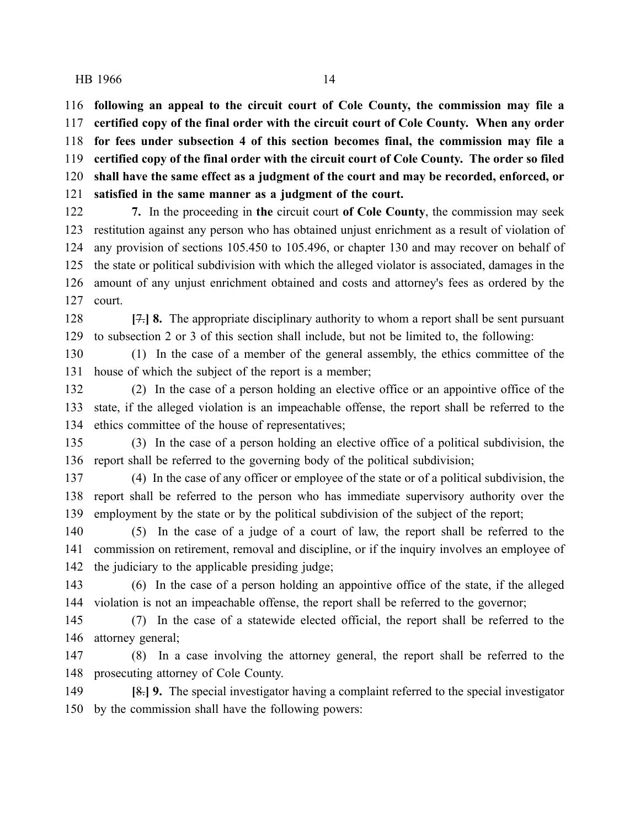**following an appeal to the circuit court of Cole County, the commission may file a certified copy of the final order with the circuit court of Cole County. When any order for fees under subsection 4 of this section becomes final, the commission may file a certified copy of the final order with the circuit court of Cole County. The order so filed shall have the same effect as a judgment of the court and may be recorded, enforced, or satisfied in the same manner as a judgment of the court.**

 **7.** In the proceeding in **the** circuit court **of Cole County**, the commission may seek restitution against any person who has obtained unjust enrichment as a result of violation of any provision of sections 105.450 to 105.496, or chapter 130 and may recover on behalf of the state or political subdivision with which the alleged violator is associated, damages in the amount of any unjust enrichment obtained and costs and attorney's fees as ordered by the court.

 **[**7.**] 8.** The appropriate disciplinary authority to whom a report shall be sent pursuant to subsection 2 or 3 of this section shall include, but not be limited to, the following:

 (1) In the case of a member of the general assembly, the ethics committee of the house of which the subject of the report is a member;

 (2) In the case of a person holding an elective office or an appointive office of the state, if the alleged violation is an impeachable offense, the report shall be referred to the ethics committee of the house of representatives;

 (3) In the case of a person holding an elective office of a political subdivision, the report shall be referred to the governing body of the political subdivision;

 (4) In the case of any officer or employee of the state or of a political subdivision, the report shall be referred to the person who has immediate supervisory authority over the employment by the state or by the political subdivision of the subject of the report;

 (5) In the case of a judge of a court of law, the report shall be referred to the commission on retirement, removal and discipline, or if the inquiry involves an employee of the judiciary to the applicable presiding judge;

 (6) In the case of a person holding an appointive office of the state, if the alleged violation is not an impeachable offense, the report shall be referred to the governor;

 (7) In the case of a statewide elected official, the report shall be referred to the attorney general;

 (8) In a case involving the attorney general, the report shall be referred to the prosecuting attorney of Cole County.

 **[**8.**] 9.** The special investigator having a complaint referred to the special investigator by the commission shall have the following powers: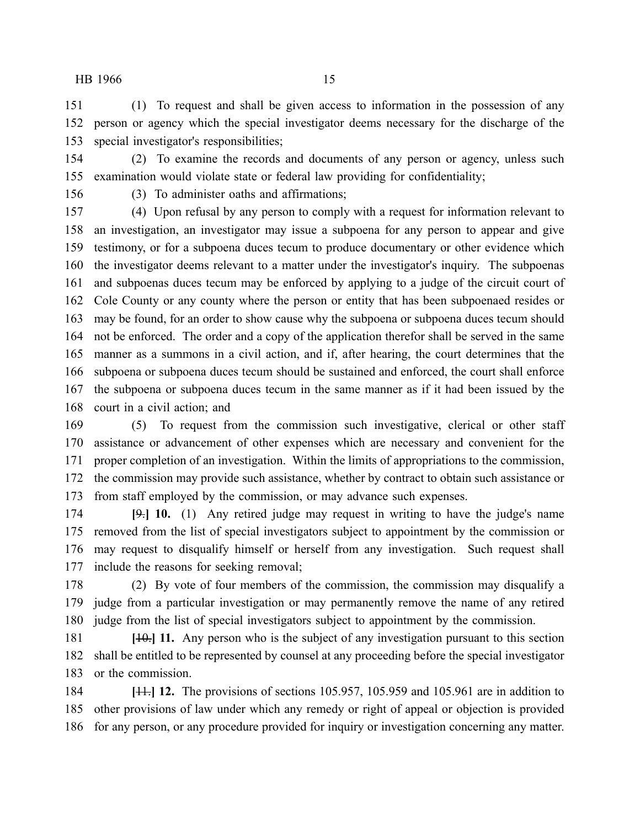(1) To request and shall be given access to information in the possession of any person or agency which the special investigator deems necessary for the discharge of the special investigator's responsibilities;

 (2) To examine the records and documents of any person or agency, unless such examination would violate state or federal law providing for confidentiality;

(3) To administer oaths and affirmations;

 (4) Upon refusal by any person to comply with a request for information relevant to an investigation, an investigator may issue a subpoena for any person to appear and give testimony, or for a subpoena duces tecum to produce documentary or other evidence which the investigator deems relevant to a matter under the investigator's inquiry. The subpoenas and subpoenas duces tecum may be enforced by applying to a judge of the circuit court of Cole County or any county where the person or entity that has been subpoenaed resides or may be found, for an order to show cause why the subpoena or subpoena duces tecum should not be enforced. The order and a copy of the application therefor shall be served in the same manner as a summons in a civil action, and if, after hearing, the court determines that the subpoena or subpoena duces tecum should be sustained and enforced, the court shall enforce the subpoena or subpoena duces tecum in the same manner as if it had been issued by the court in a civil action; and

 (5) To request from the commission such investigative, clerical or other staff assistance or advancement of other expenses which are necessary and convenient for the proper completion of an investigation. Within the limits of appropriations to the commission, the commission may provide such assistance, whether by contract to obtain such assistance or from staff employed by the commission, or may advance such expenses.

 **[**9.**] 10.** (1) Any retired judge may request in writing to have the judge's name removed from the list of special investigators subject to appointment by the commission or may request to disqualify himself or herself from any investigation. Such request shall include the reasons for seeking removal;

 (2) By vote of four members of the commission, the commission may disqualify a judge from a particular investigation or may permanently remove the name of any retired judge from the list of special investigators subject to appointment by the commission.

 **[**10.**] 11.** Any person who is the subject of any investigation pursuant to this section shall be entitled to be represented by counsel at any proceeding before the special investigator or the commission.

 **[**11.**] 12.** The provisions of sections 105.957, 105.959 and 105.961 are in addition to other provisions of law under which any remedy or right of appeal or objection is provided for any person, or any procedure provided for inquiry or investigation concerning any matter.